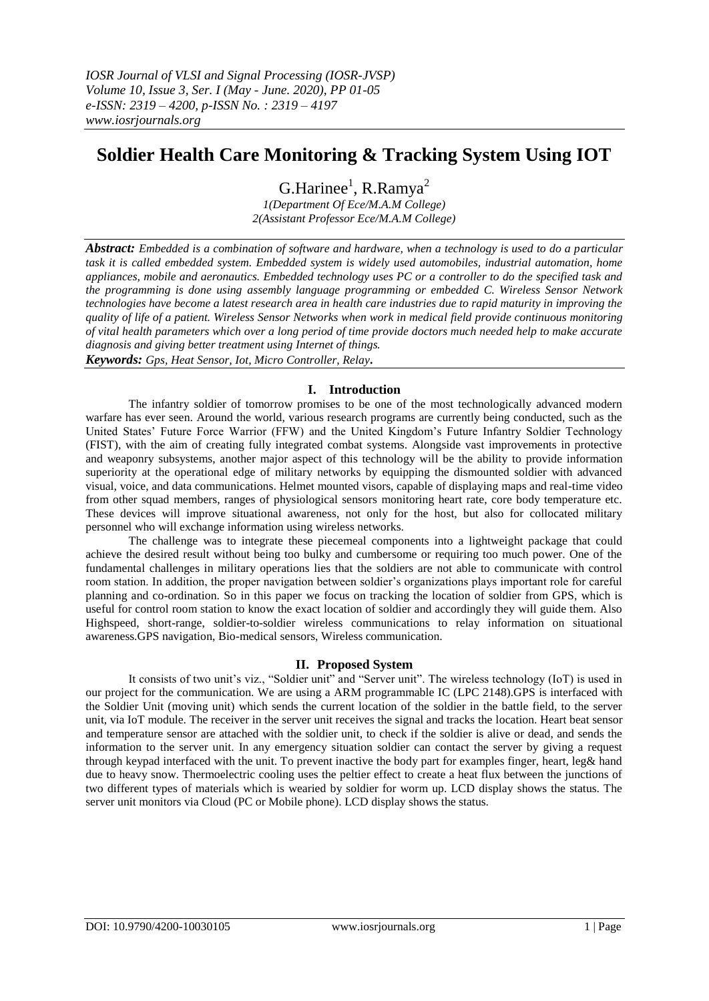# **Soldier Health Care Monitoring & Tracking System Using IOT**

G.Harinee<sup>1</sup>, R.Ramya<sup>2</sup> *1(Department Of Ece/M.A.M College) 2(Assistant Professor Ece/M.A.M College)*

*Abstract: Embedded is a combination of software and hardware, when a technology is used to do a particular task it is called embedded system. Embedded system is widely used automobiles, industrial automation, home appliances, mobile and aeronautics. Embedded technology uses PC or a controller to do the specified task and the programming is done using assembly language programming or embedded C. Wireless Sensor Network technologies have become a latest research area in health care industries due to rapid maturity in improving the quality of life of a patient. Wireless Sensor Networks when work in medical field provide continuous monitoring of vital health parameters which over a long period of time provide doctors much needed help to make accurate diagnosis and giving better treatment using Internet of things.*

*Keywords: Gps, Heat Sensor, Iot, Micro Controller, Relay***.**

## **I. Introduction**

The infantry soldier of tomorrow promises to be one of the most technologically advanced modern warfare has ever seen. Around the world, various research programs are currently being conducted, such as the United States' Future Force Warrior (FFW) and the United Kingdom's Future Infantry Soldier Technology (FIST), with the aim of creating fully integrated combat systems. Alongside vast improvements in protective and weaponry subsystems, another major aspect of this technology will be the ability to provide information superiority at the operational edge of military networks by equipping the dismounted soldier with advanced visual, voice, and data communications. Helmet mounted visors, capable of displaying maps and real-time video from other squad members, ranges of physiological sensors monitoring heart rate, core body temperature etc. These devices will improve situational awareness, not only for the host, but also for collocated military personnel who will exchange information using wireless networks.

The challenge was to integrate these piecemeal components into a lightweight package that could achieve the desired result without being too bulky and cumbersome or requiring too much power. One of the fundamental challenges in military operations lies that the soldiers are not able to communicate with control room station. In addition, the proper navigation between soldier's organizations plays important role for careful planning and co-ordination. So in this paper we focus on tracking the location of soldier from GPS, which is useful for control room station to know the exact location of soldier and accordingly they will guide them. Also Highspeed, short-range, soldier-to-soldier wireless communications to relay information on situational awareness.GPS navigation, Bio-medical sensors, Wireless communication.

### **II. Proposed System**

It consists of two unit's viz., "Soldier unit" and "Server unit". The wireless technology (IoT) is used in our project for the communication. We are using a ARM programmable IC (LPC 2148).GPS is interfaced with the Soldier Unit (moving unit) which sends the current location of the soldier in the battle field, to the server unit, via IoT module. The receiver in the server unit receives the signal and tracks the location. Heart beat sensor and temperature sensor are attached with the soldier unit, to check if the soldier is alive or dead, and sends the information to the server unit. In any emergency situation soldier can contact the server by giving a request through keypad interfaced with the unit. To prevent inactive the body part for examples finger, heart, leg& hand due to heavy snow. Thermoelectric cooling uses the peltier effect to create a heat flux between the junctions of two different types of materials which is wearied by soldier for worm up. LCD display shows the status. The server unit monitors via Cloud (PC or Mobile phone). LCD display shows the status.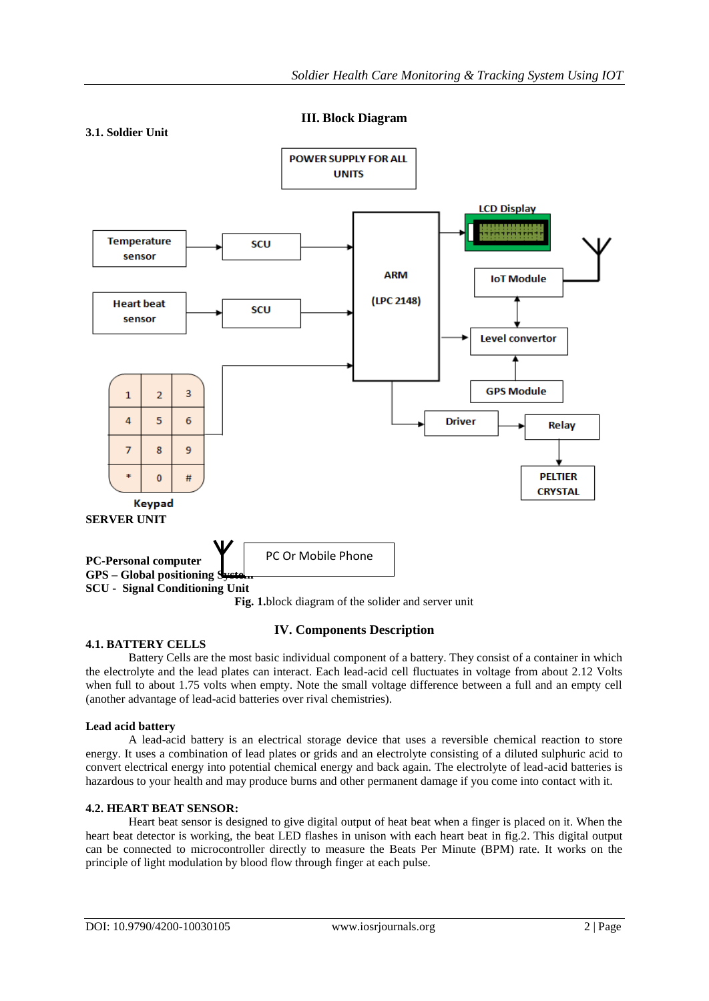**III. Block Diagram**



## **4.1. BATTERY CELLS**

## **IV. Components Description**

Battery Cells are the most basic individual component of a battery. They consist of a container in which the electrolyte and the lead plates can interact. Each lead-acid cell fluctuates in voltage from about 2.12 Volts when full to about 1.75 volts when empty. Note the small voltage difference between a full and an empty cell (another advantage of lead-acid batteries over rival chemistries).

### **Lead acid battery**

A lead-acid battery is an electrical storage device that uses a reversible chemical reaction to store energy. It uses a combination of lead plates or grids and an electrolyte consisting of a diluted sulphuric acid to convert electrical energy into potential chemical energy and back again. The electrolyte of lead-acid batteries is hazardous to your health and may produce burns and other permanent damage if you come into contact with it.

## **4.2. HEART BEAT SENSOR:**

Heart beat sensor is designed to give digital output of heat beat when a finger is placed on it. When the heart beat detector is working, the beat LED flashes in unison with each heart beat in fig.2. This digital output can be connected to microcontroller directly to measure the Beats Per Minute (BPM) rate. It works on the principle of light modulation by blood flow through finger at each pulse.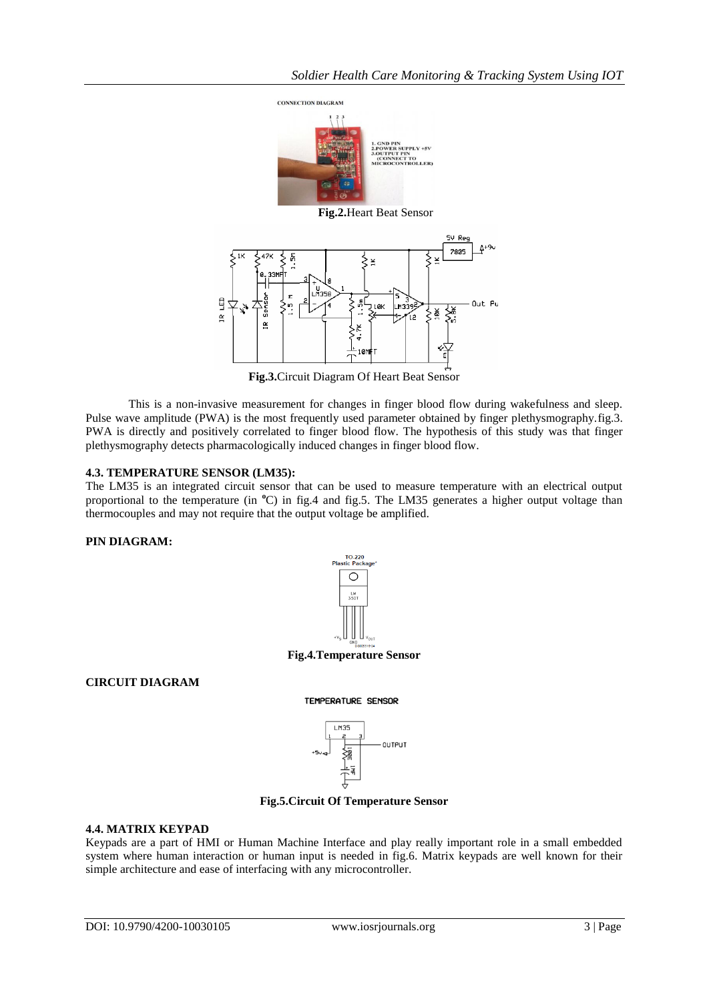

**Fig.3.**Circuit Diagram Of Heart Beat Sensor

This is a non-invasive measurement for changes in finger blood flow during wakefulness and sleep. Pulse wave amplitude (PWA) is the most frequently used parameter obtained by finger plethysmography.fig.3. PWA is directly and positively correlated to finger blood flow. The hypothesis of this study was that finger plethysmography detects pharmacologically induced changes in finger blood flow.

### **4.3. TEMPERATURE SENSOR (LM35):**

The LM35 is an integrated circuit sensor that can be used to measure temperature with an electrical output proportional to the temperature (in **<sup>o</sup>**C) in fig.4 and fig.5. The LM35 generates a higher output voltage than thermocouples and may not require that the output voltage be amplified.

# **PIN DIAGRAM:**



**Fig.4.Temperature Sensor**

TEMPERATURE SENSOR

# **CIRCUIT DIAGRAM**



**Fig.5.Circuit Of Temperature Sensor**

### **4.4. MATRIX KEYPAD**

Keypads are a part of HMI or Human Machine Interface and play really important role in a small embedded system where human interaction or human input is needed in fig.6. Matrix keypads are well known for their simple architecture and ease of interfacing with any microcontroller.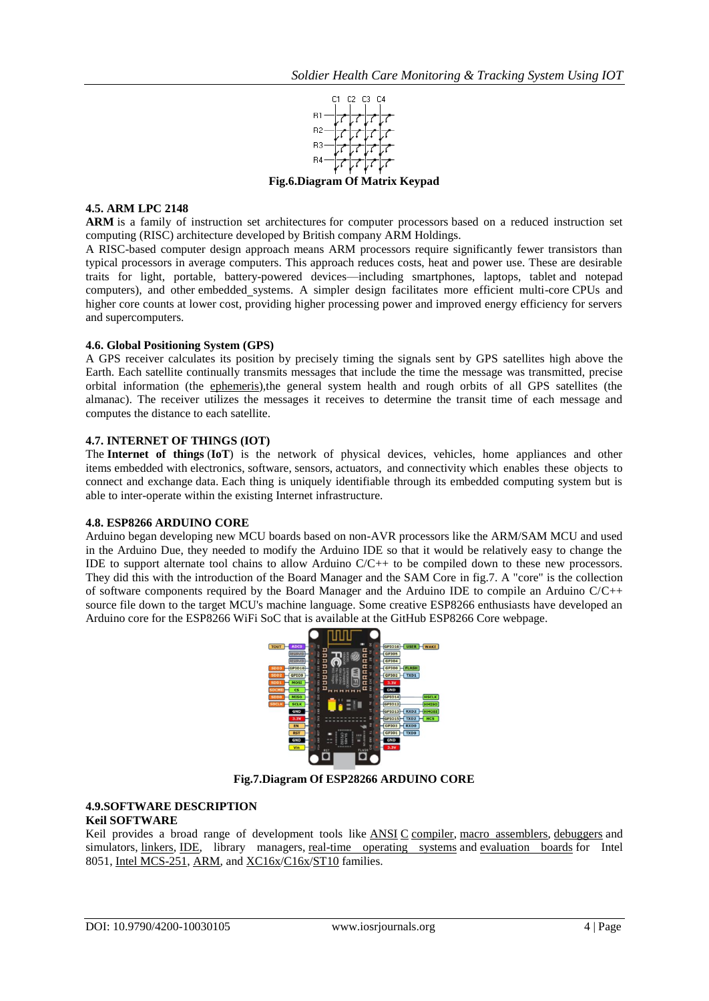

**Fig.6.Diagram Of Matrix Keypad**

## **4.5. ARM LPC 2148**

**ARM** is a family of instruction set architectures for computer processors based on a reduced instruction set computing (RISC) architecture developed by British company ARM Holdings.

A RISC-based computer design approach means ARM processors require significantly fewer transistors than typical processors in average computers. This approach reduces costs, heat and power use. These are desirable traits for light, portable, battery-powered devices—including smartphones, laptops, tablet and notepad computers), and other [embedded](http://www.engineersgarage.com/articles/embedded-systems) systems. A simpler design facilitates more efficient multi-core CPUs and higher core counts at lower cost, providing higher processing power and improved energy efficiency for servers and supercomputers.

### **4.6. Global Positioning System (GPS)**

A GPS receiver calculates its position by precisely timing the signals sent by GPS [satellites](http://en.wikipedia.org/wiki/Satellites) high above the Earth. Each satellite continually transmits messages that include the time the message was transmitted, precise orbital information (the [ephemeris\)](http://en.wikipedia.org/wiki/Ephemeris),the general system health and rough orbits of all GPS satellites (the almanac). The receiver utilizes the messages it receives to determine the transit time of each message and computes the distance to each satellite.

### **4.7. INTERNET OF THINGS (IOT)**

The **Internet of things** (**IoT**) is the network of physical devices, vehicles, home appliances and other items [embedded](https://en.wikipedia.org/wiki/Embedded_system) with [electronics,](https://en.wikipedia.org/wiki/Electronics) [software,](https://en.wikipedia.org/wiki/Software) [sensors,](https://en.wikipedia.org/wiki/Sensor) [actuators,](https://en.wikipedia.org/wiki/Actuator) and [connectivity](https://en.wikipedia.org/wiki/Internet_access) which enables these objects to connect and exchange [data.](https://en.wikipedia.org/wiki/Data) Each thing is uniquely identifiable through its embedded computing system but is able to inter-operate within the existing [Internet](https://en.wikipedia.org/wiki/Internet) infrastructure.

### **4.8. ESP8266 ARDUINO CORE**

Arduino began developing new MCU boards based on non-AVR processors like the ARM/SAM MCU and used in the Arduino Due, they needed to modify the Arduino IDE so that it would be relatively easy to change the IDE to support alternate tool chains to allow Arduino C/C++ to be compiled down to these new processors. They did this with the introduction of the Board Manager and the SAM Core in fig.7. A "core" is the collection of software components required by the Board Manager and the Arduino IDE to compile an Arduino  $C/C++$ source file down to the target MCU's machine language. Some creative ESP8266 enthusiasts have developed an Arduino core for the ESP8266 WiFi SoC that is available at the GitHub ESP8266 Core webpage.



**Fig.7.Diagram Of ESP28266 ARDUINO CORE**

## **4.9.SOFTWARE DESCRIPTION**

## **Keil SOFTWARE**

Keil provides a broad range of development tools like [ANSI](https://en.wikipedia.org/wiki/ANSI) [C](https://en.wikipedia.org/wiki/C_(programming_language)) [compiler,](https://en.wikipedia.org/wiki/Compiler) [macro assemblers,](https://en.wikipedia.org/wiki/Assembly_language#Assembler) [debuggers](https://en.wikipedia.org/wiki/Debuggers) and simulators, [linkers,](https://en.wikipedia.org/wiki/Linker_(computing)) [IDE,](https://en.wikipedia.org/wiki/Integrated_development_environment) library managers, [real-time operating systems](https://en.wikipedia.org/wiki/Real-time_operating_systems) and [evaluation boards](https://en.wikipedia.org/wiki/Evaluation_boards) for Intel 8051, [Intel MCS-251,](https://en.wikipedia.org/wiki/Intel_MCS-251) [ARM,](https://en.wikipedia.org/wiki/ARM_architecture) and [XC16x](https://en.wikipedia.org/w/index.php?title=XC16x&action=edit&redlink=1)[/C16x/](https://en.wikipedia.org/wiki/C16x)[ST10](https://en.wikipedia.org/wiki/ST10) families.